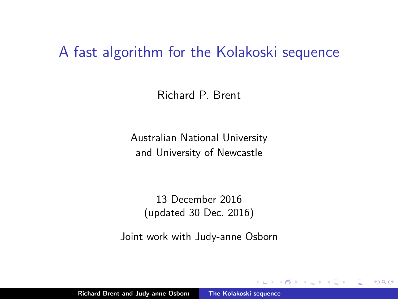#### A fast algorithm for the Kolakoski sequence

Richard P. Brent

Australian National University and University of Newcastle

13 December 2016 (updated 30 Dec. 2016)

Joint work with Judy-anne Osborn

<span id="page-0-0"></span> $2Q$ 

→ 手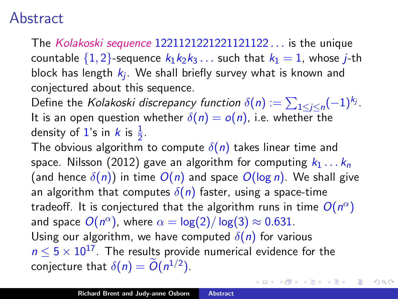#### **Abstract**

The Kolakoski sequence 1221121221221121122 . . . is the unique countable  $\{1,2\}$ -sequence  $k_1k_2k_3...$  such that  $k_1 = 1$ , whose *j*-th block has length  $k_j$ . We shall briefly survey what is known and conjectured about this sequence.

Define the *Kolakoski discrepancy function*  $\delta(n) := \sum_{1 \leq j \leq n} (-1)^{k_j}.$ It is an open question whether  $\delta(n) = o(n)$ , i.e. whether the density of 1's in  $k$  is  $\frac{1}{2}$ .

The obvious algorithm to compute  $\delta(n)$  takes linear time and space. Nilsson (2012) gave an algorithm for computing  $k_1 \ldots k_n$ (and hence  $\delta(n)$ ) in time  $O(n)$  and space  $O(\log n)$ . We shall give an algorithm that computes  $\delta(n)$  faster, using a space-time tradeoff. It is conjectured that the algorithm runs in time  $O(n^{\alpha})$ and space  $O(n^{\alpha})$ , where  $\alpha = \log(2)/\log(3) \approx 0.631$ . Using our algorithm, we have computed  $\delta(n)$  for various  $n \leq 5 \times 10^{17}$ . The results provide numerical evidence for the conjecture that  $\delta(n) = O(n^{1/2})$ .

イロト イ押 トイモト イモト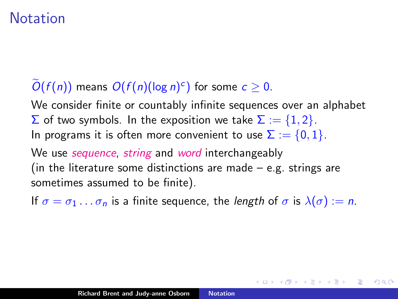# **Notation**

# $O(f(n))$  means  $O(f(n)(\log n)^c)$  for some  $c \ge 0$ .

We consider finite or countably infinite sequences over an alphabet  $\Sigma$  of two symbols. In the exposition we take  $\Sigma := \{1, 2\}$ . In programs it is often more convenient to use  $\Sigma := \{0, 1\}.$ 

We use *sequence, string* and *word* interchangeably (in the literature some distinctions are made  $-$  e.g. strings are sometimes assumed to be finite).

If  $\sigma = \sigma_1 \dots \sigma_n$  is a finite sequence, the length of  $\sigma$  is  $\lambda(\sigma) := n$ .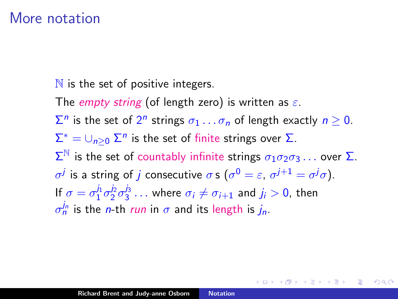#### More notation

 $\mathbb N$  is the set of positive integers.

The empty string (of length zero) is written as  $\varepsilon$ .

 $\Sigma^n$  is the set of  $2^n$  strings  $\sigma_1 \ldots \sigma_n$  of length exactly  $n \geq 0$ .  $\Sigma^* = \cup_{n \geq 0} \Sigma^n$  is the set of finite strings over  $\Sigma$ .  $\Sigma^{\mathbb{N}}$  is the set of countably infinite strings  $\sigma_1 \sigma_2 \sigma_3 \ldots$  over  $\Sigma$ .  $\sigma^j$  is a string of *j* consecutive  $\sigma$  s ( $\sigma^0 = \varepsilon$ ,  $\sigma^{j+1} = \sigma^j \sigma$ ). If  $\sigma = \sigma_1^{j_1} \sigma_2^{j_2} \sigma_3^{j_3} \dots$  where  $\sigma_i \neq \sigma_{i+1}$  and  $j_i > 0$ , then  $\sigma_n^{j_n}$  is the *n*-th *run* in  $\sigma$  and its length is  $j_n$ .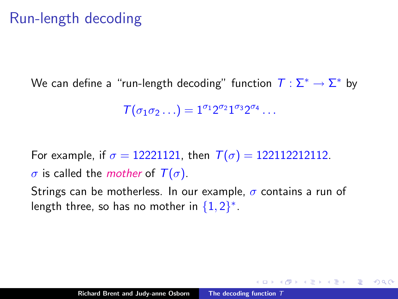# Run-length decoding

We can define a "run-length decoding" function  $\mathcal{T}:\mathsf{\Sigma}^{*}\to\mathsf{\Sigma}^{*}$  by

 $\mathcal{T}(\sigma_1\sigma_2\ldots)=1^{\sigma_1}2^{\sigma_2}1^{\sigma_3}2^{\sigma_4}\ldots$ 

For example, if  $\sigma = 12221121$ , then  $T(\sigma) = 122112212112$ .

 $\sigma$  is called the *mother* of  $T(\sigma)$ .

Strings can be motherless. In our example,  $\sigma$  contains a run of length three, so has no mother in  $\{1,2\}^*$ .

5 8 9 9 9 9 9 9 9 9

 $2Q$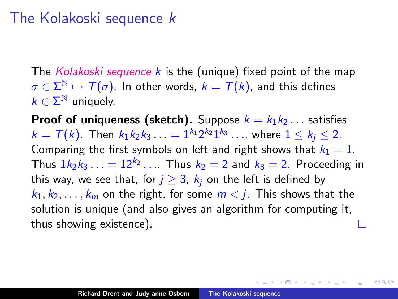## The Kolakoski sequence k

The Kolakoski sequence  $k$  is the (unique) fixed point of the map  $\sigma \in \Sigma^\mathbb{N} \mapsto \mathcal{T}(\sigma).$  In other words,  $\overline{k} = \mathcal{T}(k).$  and this defines  $k \in \Sigma^{\mathbb{N}}$  uniquely.

**Proof of uniqueness (sketch).** Suppose  $k = k_1 k_2 \dots$  satisfies  $k=\mathcal{T}(k)$ . Then  $k_1k_2k_3\ldots=1^{k_1}2^{k_2}1^{k_3}\ldots$ , where  $1\leq k_j\leq 2.$ Comparing the first symbols on left and right shows that  $k_1 = 1$ . Thus  $1k_2k_3\ldots = 12^{k_2}\ldots$  Thus  $k_2 = 2$  and  $k_3 = 2$ . Proceeding in this way, we see that, for  $j \geq 3$ ,  $k_j$  on the left is defined by  $k_1, k_2, \ldots, k_m$  on the right, for some  $m < j$ . This shows that the solution is unique (and also gives an algorithm for computing it, thus showing existence).

K 御 ▶ K 君 ▶ K 君 ▶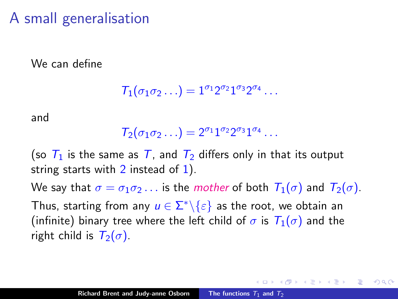# A small generalisation

We can define

$$
\mathcal{T}_1(\sigma_1\sigma_2\ldots)=1^{\sigma_1}2^{\sigma_2}1^{\sigma_3}2^{\sigma_4}\ldots
$$

and

$$
\mathcal{T}_2(\sigma_1\sigma_2\ldots)=2^{\sigma_1}1^{\sigma_2}2^{\sigma_3}1^{\sigma_4}\ldots
$$

(so  $T_1$  is the same as T, and  $T_2$  differs only in that its output string starts with  $2$  instead of  $1$ ).

We say that  $\sigma = \sigma_1 \sigma_2 \ldots$  is the mother of both  $T_1(\sigma)$  and  $T_2(\sigma)$ . Thus, starting from any  $u \in \Sigma^* \backslash \{\varepsilon\}$  as the root, we obtain an (infinite) binary tree where the left child of  $\sigma$  is  $T_1(\sigma)$  and the right child is  $T_2(\sigma)$ .

つくい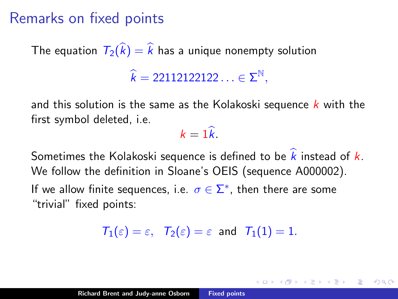# Remarks on fixed points

The equation  $\overline{T}_2(\widehat{k}) = \widehat{k}$  has a unique nonempty solution

 $\widehat{k} = 22112122122... \in \Sigma^{\mathbb{N}},$ 

and this solution is the same as the Kolakoski sequence  $k$  with the first symbol deleted, i.e.

<span id="page-7-0"></span> $k = 1\hat{k}$ 

Sometimes the Kolakoski sequence is defined to be  $\hat{k}$  instead of  $k$ . We follow the definition in Sloane's OEIS (sequence A000002). If we allow finite sequences, i.e.  $\sigma \in \Sigma^*$ , then there are some

"trivial" fixed points:

 $T_1(\varepsilon) = \varepsilon$ ,  $T_2(\varepsilon) = \varepsilon$  and  $T_1(1) = 1$ .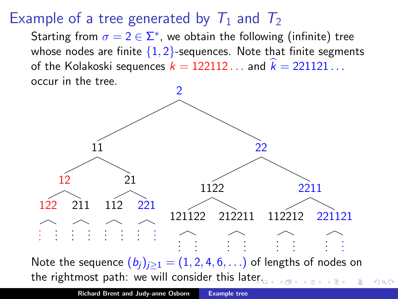# Example of a tree generated by  $T_1$  and  $T_2$

Starting from  $\sigma = 2 \in \Sigma^*$ , we obtain the following (infinite) tree whose nodes are finite  $\{1, 2\}$ -sequences. Note that finite segments of the Kolakoski sequences  $k = 122112...$  and  $k = 221121...$ occur in the tree.



Note the sequence  $(b_i)_{i\geq 1} = (1, 2, 4, 6, ...)$  of lengths of nodes on the rightmost path: we will consider this lat[er.](#page-7-0)

 $290$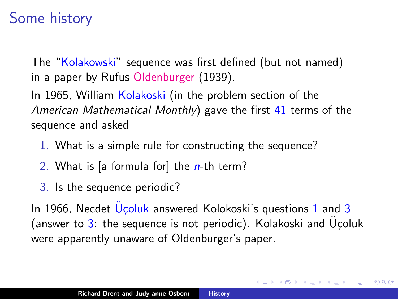# Some history

The "Kolakowski" sequence was first defined (but not named) in a paper by Rufus Oldenburger (1939).

In 1965, William Kolakoski (in the problem section of the American Mathematical Monthly) gave the first  $41$  terms of the sequence and asked

- <span id="page-9-0"></span>1. What is a simple rule for constructing the sequence?
- 2. What is [a formula for] the  $n$ -th term?
- <span id="page-9-1"></span>3. Is the sequence periodic?

In [1](#page-9-0)966, Necdet  $\hat{U}$ coluk answered Kolokoski's questions 1 and [3](#page-9-1) (answer to  $3$ : the sequence is not periodic). Kolakoski and Uçoluk were apparently unaware of Oldenburger's paper.

一人 ヨート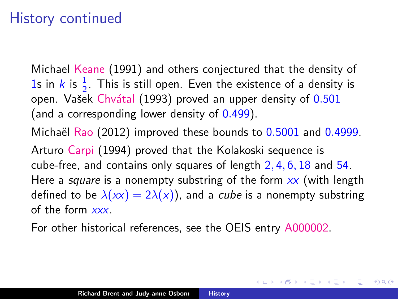# History continued

Michael Keane (1991) and others conjectured that the density of 1s in k is  $\frac{1}{2}$ . This is still open. Even the existence of a density is open. Vašek Chvátal (1993) proved an upper density of 0.501 (and a corresponding lower density of 0.499).

Michaël Rao  $(2012)$  improved these bounds to  $0.5001$  and  $0.4999$ . Arturo Carpi (1994) proved that the Kolakoski sequence is cube-free, and contains only squares of length 2, 4, 6, 18 and 54. Here a *square* is a nonempty substring of the form  $xx$  (with length defined to be  $\lambda(xx) = 2\lambda(x)$ , and a *cube* is a nonempty substring of the form xxx.

へのへ

For other historical references, see the OEIS entry A000002.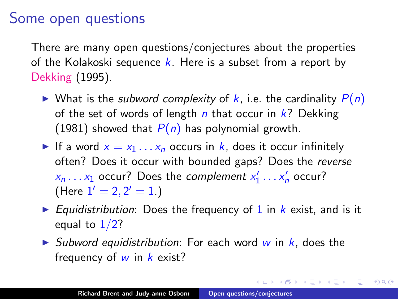#### Some open questions

There are many open questions/conjectures about the properties of the Kolakoski sequence  $k$ . Here is a subset from a report by Dekking (1995).

- $\triangleright$  What is the subword complexity of k, i.e. the cardinality  $P(n)$ of the set of words of length  $n$  that occur in  $k$ ? Dekking (1981) showed that  $P(n)$  has polynomial growth.
- If a word  $x = x_1 \ldots x_n$  occurs in k, does it occur infinitely often? Does it occur with bounded gaps? Does the reverse  $x_n \dots x_1$  occur? Does the *complement*  $x'_1 \dots x'_n$  occur? (Here  $1' = 2, 2' = 1.$ )
- Equidistribution: Does the frequency of 1 in  $k$  exist, and is it equal to  $1/2$ ?

→ 伊 ▶ → ヨ ▶ → ヨ ▶

つくい

 $\triangleright$  Subword equidistribution: For each word w in k, does the frequency of  $w$  in  $k$  exist?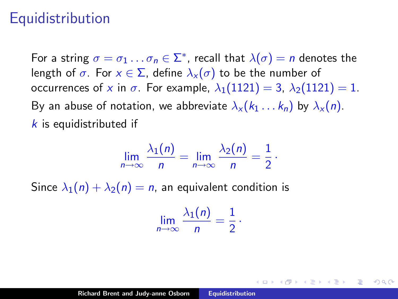#### **Equidistribution**

For a string  $\sigma=\sigma_1\dots\sigma_n\in\Sigma^*$ , recall that  $\lambda(\sigma)=n$  denotes the length of  $\sigma$ . For  $x \in \Sigma$ , define  $\lambda_x(\sigma)$  to be the number of occurrences of x in  $\sigma$ . For example,  $\lambda_1(1121) = 3$ ,  $\lambda_2(1121) = 1$ . By an abuse of notation, we abbreviate  $\lambda_x (k_1 \dots k_n)$  by  $\lambda_x (n)$ .  $k$  is equidistributed if

$$
\lim_{n\to\infty}\frac{\lambda_1(n)}{n}=\lim_{n\to\infty}\frac{\lambda_2(n)}{n}=\frac{1}{2}.
$$

Since  $\lambda_1(n) + \lambda_2(n) = n$ , an equivalent condition is

$$
\lim_{n\to\infty}\frac{\lambda_1(n)}{n}=\frac{1}{2}\cdot
$$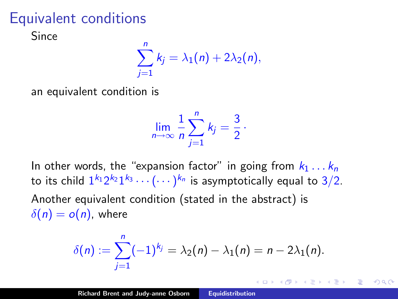# Equivalent conditions

Since

$$
\sum_{j=1}^n k_j = \lambda_1(n) + 2\lambda_2(n),
$$

an equivalent condition is

$$
\lim_{n\to\infty}\frac{1}{n}\sum_{j=1}^n k_j=\frac{3}{2}\,.
$$

In other words, the "expansion factor" in going from  $k_1 \ldots k_n$ to its child  $1^{k_1}2^{k_2}1^{k_3}\cdots (\cdots)^{k_n}$  is asymptotically equal to  $3/2.$ Another equivalent condition (stated in the abstract) is  $\delta(n) = o(n)$ , where

$$
\delta(n) := \sum_{j=1}^n (-1)^{k_j} = \lambda_2(n) - \lambda_1(n) = n - 2\lambda_1(n).
$$

∢ 倒 ▶ . ∢ ミ ▶ . ∢ ミ ▶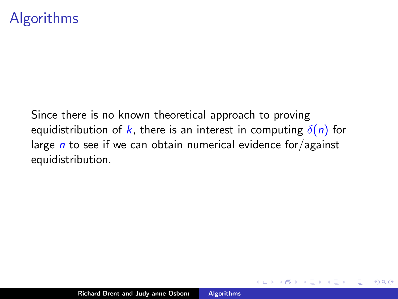# Algorithms

Since there is no known theoretical approach to proving equidistribution of k, there is an interest in computing  $\delta(n)$  for large  $n$  to see if we can obtain numerical evidence for/against equidistribution.

4. E. K

 $\Omega$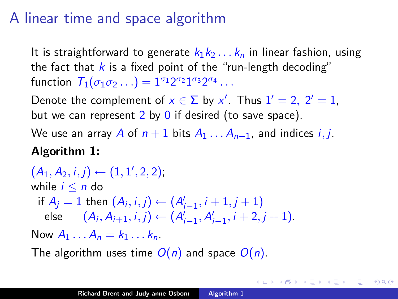# A linear time and space algorithm

It is straightforward to generate  $k_1k_2...k_n$  in linear fashion, using the fact that  $k$  is a fixed point of the "run-length decoding" function  $T_1(\sigma_1\sigma_2\ldots)=1^{\sigma_1}2^{\sigma_2}1^{\sigma_3}2^{\sigma_4}\ldots$ 

Denote the complement of  $x \in \Sigma$  by x'. Thus  $1' = 2$ ,  $2' = 1$ , but we can represent  $2$  by  $0$  if desired (to save space).

We use an array A of  $n+1$  bits  $A_1 \ldots A_{n+1}$ , and indices *i*, *j*. Algorithm 1:

 $(A_1, A_2, i, j) \leftarrow (1, 1', 2, 2)$ ; while  $i \leq n$  do if  $A_j = 1$  then  $(A_i, i, j) \leftarrow (A'_{i-1}, i + 1, j + 1)$ else  $(A_i, A_{i+1}, i, j) \leftarrow (A'_{i-1}, A'_{i-1}, i+2, j+1).$ Now  $A_1 \dots A_n = k_1 \dots k_n$ .

The algorithm uses time  $O(n)$  and space  $O(n)$ .

K 御 ▶ ( 唐 ) ( 唐 )

つくい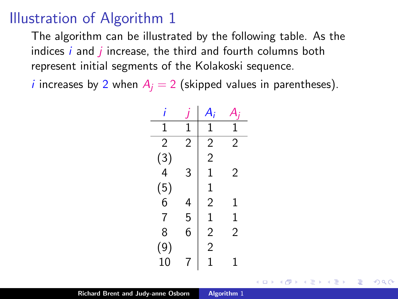#### Illustration of Algorithm 1

The algorithm can be illustrated by the following table. As the indices  $i$  and  $j$  increase, the third and fourth columns both represent initial segments of the Kolakoski sequence.

*i* increases by 2 when  $A_i = 2$  (skipped values in parentheses).

| 1                                       | 1                        | 1              |                |
|-----------------------------------------|--------------------------|----------------|----------------|
| $\overline{2}$                          | $\overline{2}$           | $\overline{c}$ | $\overline{2}$ |
| $\begin{array}{c} (3) \\ 4 \end{array}$ |                          | $\overline{2}$ |                |
|                                         | 3                        | $\mathbf 1$    | 2              |
| $\binom{5}{6}$                          |                          | $\mathbf{1}$   |                |
|                                         | $\overline{\mathcal{L}}$ | $\overline{2}$ | 1              |
| $\overline{7}$                          | 5                        | $\mathbf 1$    | 1              |
| 8                                       | 6                        | $\overline{2}$ | $\overline{2}$ |
| (9)                                     |                          | $\overline{c}$ |                |
| 10                                      | 7                        | 1              | 1              |

 $\left\{ \begin{array}{ccc} 1 & 0 & 0 \\ 0 & 1 & 0 \end{array} \right\}$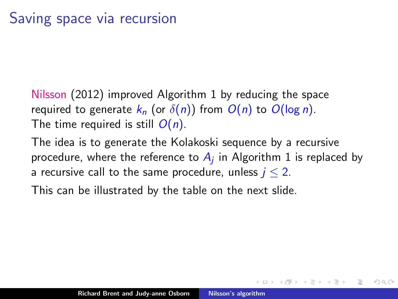- Nilsson (2012) improved Algorithm 1 by reducing the space required to generate  $k_n$  (or  $\delta(n)$ ) from  $O(n)$  to  $O(\log n)$ . The time required is still  $O(n)$ .
- The idea is to generate the Kolakoski sequence by a recursive procedure, where the reference to  $A_j$  in Algorithm 1 is replaced by a recursive call to the same procedure, unless  $j \leq 2$ .

This can be illustrated by the table on the next slide.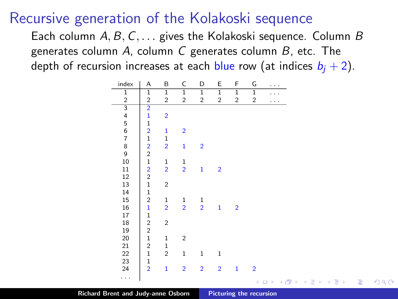#### Recursive generation of the Kolakoski sequence

Each column  $A, B, C, \ldots$  gives the Kolakoski sequence. Column  $B$ generates column A, column C generates column  $B$ , etc. The depth of recursion increases at each blue row (at indices  $b_i + 2$ ).

| index                     | А                       | B                       | C              | D              | Ε              | F              | G                       | $\cdots$             |                         |      |      |
|---------------------------|-------------------------|-------------------------|----------------|----------------|----------------|----------------|-------------------------|----------------------|-------------------------|------|------|
| $\overline{1}$            | $\overline{1}$          | $\overline{1}$          | $\overline{1}$ | $\overline{1}$ | $\overline{1}$ | $\overline{1}$ | $\overline{1}$          | $\cdots$             |                         |      |      |
| $\boldsymbol{2}$          | $\overline{2}$          | $\overline{c}$          | $\overline{c}$ | $\overline{c}$ | $\overline{c}$ | $\overline{c}$ | $\overline{\mathbf{c}}$ | $\cdots$             |                         |      |      |
| $\frac{1}{3}$ 4 5 6 7 8 9 | $\overline{2}$          |                         |                |                |                |                |                         |                      |                         |      |      |
|                           | $\mathbf{1}$            | $\overline{2}$          |                |                |                |                |                         |                      |                         |      |      |
|                           | $\mathbf{1}$            |                         |                |                |                |                |                         |                      |                         |      |      |
|                           | $\frac{2}{1}$           | $\mathbf{1}$            | $\overline{2}$ |                |                |                |                         |                      |                         |      |      |
|                           |                         | $\mathbf 1$             |                |                |                |                |                         |                      |                         |      |      |
|                           | $\frac{2}{2}$           | $\overline{2}$          | $\mathbf{1}$   | $\overline{2}$ |                |                |                         |                      |                         |      |      |
|                           |                         |                         |                |                |                |                |                         |                      |                         |      |      |
| 10                        | $\,1$                   | $\mathbf 1$             | $\mathbf 1$    |                |                |                |                         |                      |                         |      |      |
| $11\,$                    | $\overline{\mathbf{c}}$ | $\overline{2}$          | $\overline{2}$ | $\mathbf{1}$   | $\overline{2}$ |                |                         |                      |                         |      |      |
| 12                        | $\overline{2}$          |                         |                |                |                |                |                         |                      |                         |      |      |
| 13                        | $\mathbf 1$             | $\overline{\mathbf{c}}$ |                |                |                |                |                         |                      |                         |      |      |
| 14                        | $\mathbf 1$             |                         |                |                |                |                |                         |                      |                         |      |      |
| 15                        | $\overline{\mathbf{c}}$ | $\mathbf 1$             | $\frac{1}{2}$  | $\frac{1}{2}$  |                |                |                         |                      |                         |      |      |
| 16                        | $\mathbf{1}$            | $\overline{2}$          |                |                | $\mathbf{1}$   | $\overline{2}$ |                         |                      |                         |      |      |
| 17                        | $\mathbf 1$             |                         |                |                |                |                |                         |                      |                         |      |      |
| 18                        | $\overline{c}$          | $\overline{\mathbf{c}}$ |                |                |                |                |                         |                      |                         |      |      |
| 19                        | $\overline{\mathbf{c}}$ |                         |                |                |                |                |                         |                      |                         |      |      |
| 20                        | $\mathbf 1$             | 1                       | $\overline{c}$ |                |                |                |                         |                      |                         |      |      |
| 21                        | $\overline{c}$          | $\mathbf 1$             |                |                |                |                |                         |                      |                         |      |      |
| 22                        | $\mathbf 1$             | $\overline{c}$          | $\mathbf 1$    | $\mathbf 1$    | $\mathbf 1$    |                |                         |                      |                         |      |      |
| 23                        | $\mathbf 1$             |                         |                |                |                |                |                         |                      |                         |      |      |
| 24                        | $\overline{2}$          | $\mathbf{1}$            | $\overline{2}$ | $\overline{2}$ | $\overline{2}$ | $\mathbf{1}$   | $\overline{2}$          |                      |                         |      |      |
| .                         |                         |                         |                |                |                |                | ¢                       | 同<br>k.<br>$\square$ | 注<br>$\rightarrow$<br>4 | $\,$ | 이동 > |
|                           |                         |                         |                |                |                |                |                         |                      |                         |      |      |

 $\Omega$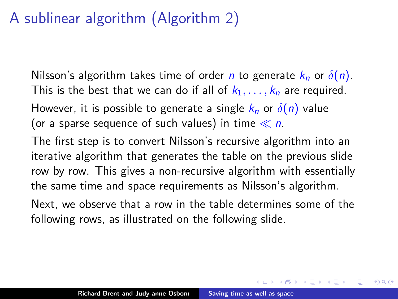# A sublinear algorithm (Algorithm 2)

Nilsson's algorithm takes time of order *n* to generate  $k_n$  or  $\delta(n)$ . This is the best that we can do if all of  $k_1, \ldots, k_n$  are required. However, it is possible to generate a single  $k_n$  or  $\delta(n)$  value (or a sparse sequence of such values) in time  $\ll n$ .

The first step is to convert Nilsson's recursive algorithm into an iterative algorithm that generates the table on the previous slide row by row. This gives a non-recursive algorithm with essentially the same time and space requirements as Nilsson's algorithm.

Next, we observe that a row in the table determines some of the following rows, as illustrated on the following slide.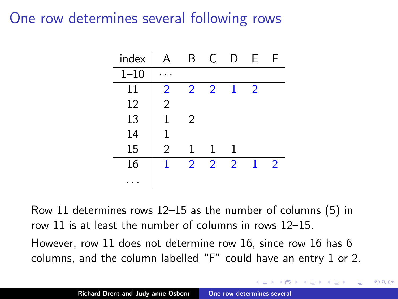#### One row determines several following rows

| index    | A              | B.             | C              | D.            | E             | F              |
|----------|----------------|----------------|----------------|---------------|---------------|----------------|
| $1 - 10$ |                |                |                |               |               |                |
| 11       | 2              | $\mathcal{P}$  | $\overline{2}$ | $\mathbf{1}$  | $\mathcal{P}$ |                |
| 12       | $\overline{2}$ |                |                |               |               |                |
| 13       | 1              | $\mathcal{P}$  |                |               |               |                |
| 14       | 1              |                |                |               |               |                |
| 15       | $\overline{2}$ | 1              | 1              | 1             |               |                |
| 16       | 1              | $\overline{2}$ | $\mathcal{P}$  | $\mathcal{P}$ |               | $\overline{2}$ |
|          |                |                |                |               |               |                |

Row 11 determines rows 12–15 as the number of columns (5) in row 11 is at least the number of columns in rows 12–15. However, row 11 does not determine row 16, since row 16 has 6 columns, and the column labelled "F" could have an entry 1 or 2.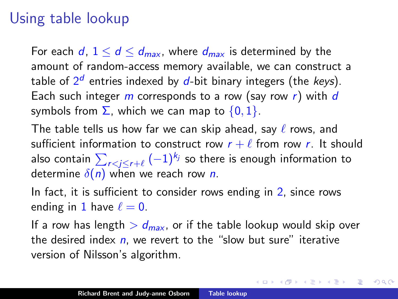# Using table lookup

For each d,  $1 \le d \le d_{\text{max}}$ , where  $d_{\text{max}}$  is determined by the amount of random-access memory available, we can construct a table of  $2^d$  entries indexed by  $d$ -bit binary integers (the *keys*). Each such integer  $m$  corresponds to a row (say row  $r$ ) with  $d$ symbols from  $\Sigma$ , which we can map to  $\{0, 1\}$ .

The table tells us how far we can skip ahead, say  $\ell$  rows, and sufficient information to construct row  $r + \ell$  from row r. It should also contain  $\sum_{r < j \leq r+\ell} {(-1)^{k_j}}$  so there is enough information to determine  $\delta(n)$  when we reach row *n*.

In fact, it is sufficient to consider rows ending in 2, since rows ending in 1 have  $\ell = 0$ .

If a row has length  $> d_{max}$ , or if the table lookup would skip over the desired index  $n$ , we revert to the "slow but sure" iterative version of Nilsson's algorithm.

イロト イ押 トイモト イモト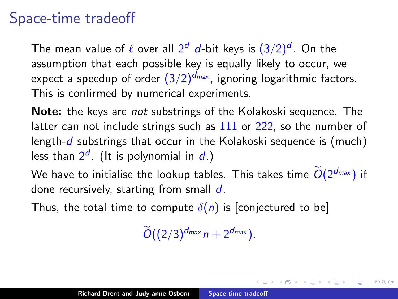# Space-time tradeoff

The mean value of  $\ell$  over all  $2^d$  d-bit keys is  $(3/2)^d$ . On the assumption that each possible key is equally likely to occur, we expect a speedup of order  $\left(\frac{3}{2}\right)^{d_{max}}$ , ignoring logarithmic factors. This is confirmed by numerical experiments.

Note: the keys are not substrings of the Kolakoski sequence. The latter can not include strings such as 111 or 222, so the number of length- $d$  substrings that occur in the Kolakoski sequence is (much) less than  $2^d$ . (It is polynomial in d.)

We have to initialise the lookup tables. This takes time  $\widetilde{O}(2^{d_{\sf max}})$  if done recursively, starting from small  $d$ .

Thus, the total time to compute  $\delta(n)$  is [conjectured to be]

 $\widetilde{O}((2/3)^{d_{\text{max}}}n+2^{d_{\text{max}}}).$ 

→ 伊 ▶ → ヨ ▶ → ヨ ▶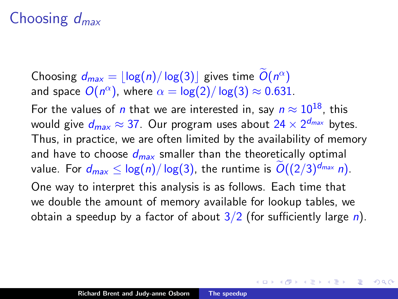# Choosing  $d_{max}$

Choosing  $d_{\text{max}} = \lfloor \log(n) / \log(3) \rfloor$  gives time  $\tilde{O}(n^{\alpha})$ and space  $O(n^{\alpha})$ , where  $\alpha = \log(2)/\log(3) \approx 0.631.$ For the values of *n* that we are interested in, say  $n \approx 10^{18}$ , this would give  $d_{max}\approx$  37. Our program uses about 24  $\times$  2 $^{d_{max}}$  bytes. Thus, in practice, we are often limited by the availability of memory and have to choose  $d_{max}$  smaller than the theoretically optimal value. For  $d_{max} \leq \log(n)/\log(3)$ , the runtime is  $\widetilde{O}((2/3)^{d_{max}} n)$ . One way to interpret this analysis is as follows. Each time that we double the amount of memory available for lookup tables, we obtain a speedup by a factor of about  $3/2$  (for sufficiently large *n*).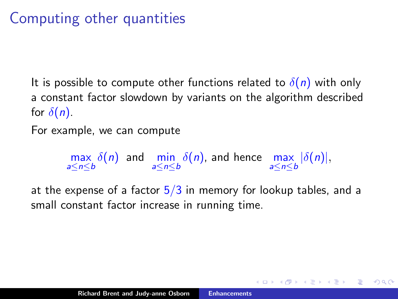# Computing other quantities

It is possible to compute other functions related to  $\delta(n)$  with only a constant factor slowdown by variants on the algorithm described for  $\delta(n)$ .

For example, we can compute

 $\max_{a \le n \le b} \delta(n)$  and  $\min_{a \le n \le b} \delta(n)$ , and hence  $\max_{a \le n \le b} |\delta(n)|$ ,

at the expense of a factor  $5/3$  in memory for lookup tables, and a small constant factor increase in running time.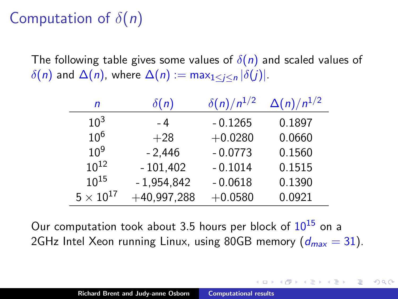# Computation of  $\delta(n)$

The following table gives some values of  $\delta(n)$  and scaled values of  $\delta(n)$  and  $\Delta(n)$ , where  $\Delta(n) := \max_{1 \leq i \leq n} |\delta(j)|$ .

| n                | $\delta(n)$   | $\delta(n)/n^{1/2}$ | $\Delta(n)/n^{1/2}$ |
|------------------|---------------|---------------------|---------------------|
| $10^{3}$         | - 4           | $-0.1265$           | 0.1897              |
| 10 <sup>6</sup>  | $+28$         | $+0.0280$           | 0.0660              |
| $10^{9}$         | $-2,446$      | $-0.0773$           | 0.1560              |
| $10^{12}$        | $-101,402$    | $-0.1014$           | 0.1515              |
| $10^{15}$        | $-1,954,842$  | $-0.0618$           | 0.1390              |
| $5\times10^{17}$ | $+40,997,288$ | $+0.0580$           | 0.0921              |

Our computation took about 3.5 hours per block of  $10^{15}$  on a 2GHz Intel Xeon running Linux, using 80GB memory  $(d_{max} = 31)$ .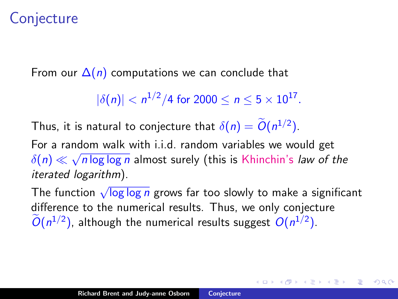# **Conjecture**

From our  $\Delta(n)$  computations we can conclude that

 $|\delta(n)| < n^{1/2}/4$  for  $2000 \le n \le 5 \times 10^{17}$ .

Thus, it is natural to conjecture that  $\delta(n) = O(n^{1/2})$ .

For a random walk with i.i.d. random variables we would get  $\delta(n)\ll$ √ n log log n almost surely (this is Khinchin's *law of the* iterated logarithm).

The function <sup>√</sup> log log n grows far too slowly to make a significant difference to the numerical results. Thus, we only conjecture  $O(n^{1/2})$ , although the numerical results suggest  $O(n^{1/2})$ .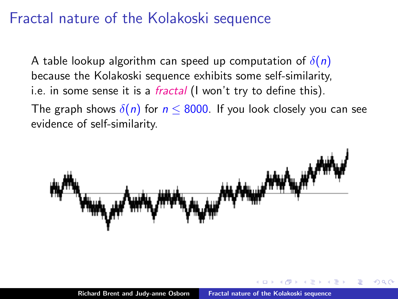# Fractal nature of the Kolakoski sequence

A table lookup algorithm can speed up computation of  $\delta(n)$ because the Kolakoski sequence exhibits some self-similarity, i.e. in some sense it is a fractal (I won't try to define this).

The graph shows  $\delta(n)$  for  $n \leq 8000$ . If you look closely you can see evidence of self-similarity.

<span id="page-27-0"></span>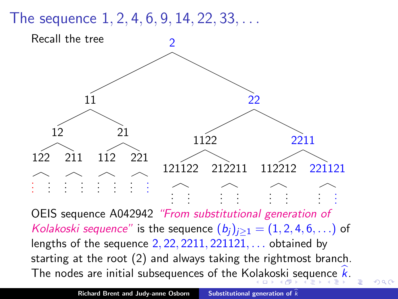The sequence  $1, 2, 4, 6, 9, 14, 22, 33, \ldots$ 



OEIS sequence A042942 "From substitutional generation of Kolakoski sequence" is the sequence  $(b_i)_{i\geq 1} = (1, 2, 4, 6, ...)$  of lengths of the sequence  $2, 22, 2211, 221121, \ldots$  obtained by starting at the root (2) and always taking the rightmost branch. The nodes are initial subsequences of the K[ola](#page-27-0)[ko](#page-29-0)[sk](#page-27-0)[i](#page-28-0) [se](#page-29-0)[qu](#page-0-0)[en](#page-33-0)[ce](#page-0-0)  $k$ [.](#page-0-0)

<span id="page-28-0"></span> $\Omega$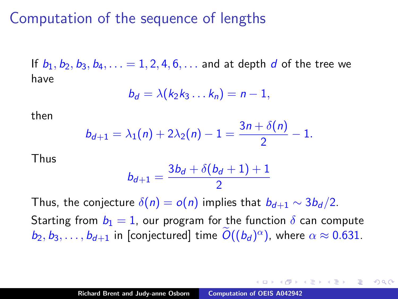## Computation of the sequence of lengths

If  $b_1, b_2, b_3, b_4, ... = 1, 2, 4, 6, ...$  and at depth d of the tree we have

$$
b_d = \lambda(k_2k_3 \ldots k_n) = n-1,
$$

then

$$
b_{d+1} = \lambda_1(n) + 2\lambda_2(n) - 1 = \frac{3n + \delta(n)}{2} - 1.
$$

Thus

$$
b_{d+1} = \frac{3b_d + \delta(b_d + 1) + 1}{2}
$$

Thus, the conjecture  $\delta(n) = o(n)$  implies that  $b_{d+1} \sim 3b_d/2$ .

Starting from  $b_1 = 1$ , our program for the function  $\delta$  can compute  $b_2, b_3, \ldots, b_{d+1}$  in [conjectured] time  $\widetilde{O}((b_d)^{\alpha})$ , where  $\alpha \approx 0.631$ .

<span id="page-29-0"></span>a mara a mara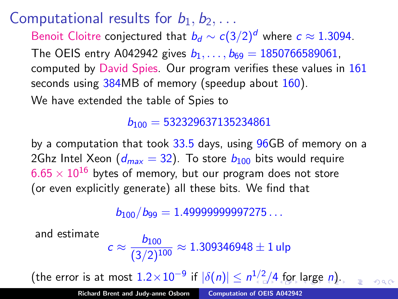Computational results for  $b_1, b_2, \ldots$ 

Benoit Cloitre conjectured that  $b_d \sim c(3/2)^d$  where  $c \approx 1.3094$ . The OEIS entry A042942 gives  $b_1, \ldots, b_{69} = 1850766589061$ . computed by David Spies. Our program verifies these values in 161 seconds using 384MB of memory (speedup about 160). We have extended the table of Spies to

 $b_{100} = 532329637135234861$ 

by a computation that took 33.5 days, using 96GB of memory on a 2Ghz Intel Xeon ( $d_{max} = 32$ ). To store  $b_{100}$  bits would require  $6.65 \times 10^{16}$  bytes of memory, but our program does not store (or even explicitly generate) all these bits. We find that

 $b_{100}/b_{99} = 1.49999999997275...$ 

and estimate

$$
c \approx \frac{b_{100}}{(3/2)^{100}} \approx 1.309346948 \pm 1 \,\mathrm{ulp}
$$

(theerror is at most  $1.2 \times 10^{-9}$  $1.2 \times 10^{-9}$  $1.2 \times 10^{-9}$  if  $|\delta(n)| \leq n^{1/2}/4$  $|\delta(n)| \leq n^{1/2}/4$  $|\delta(n)| \leq n^{1/2}/4$  $|\delta(n)| \leq n^{1/2}/4$  [for](#page-30-0) [lar](#page-0-0)[ge](#page-33-0)  $n$ [\)](#page-0-0).

<span id="page-30-0"></span> $\Omega$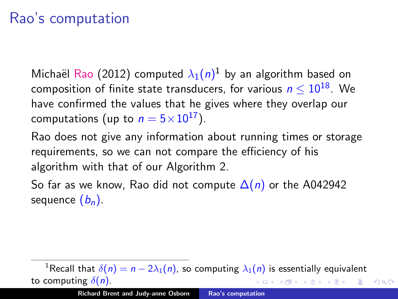# Rao's computation

Michaël Rao (2012) computed  $\lambda_1(n)^1$  by an algorithm based on composition of finite state transducers, for various  $n \leq 10^{18}$ . We have confirmed the values that he gives where they overlap our computations (up to  $n = 5 \times 10^{17}$ ).

Rao does not give any information about running times or storage requirements, so we can not compare the efficiency of his algorithm with that of our Algorithm 2.

So far as we know, Rao did not compute  $\Delta(n)$  or the A042942 sequence  $(b_n)$ .

<sup>1</sup>Recall that  $\delta(n) = n - 2\lambda_1(n)$ , so computing  $\lambda_1(n)$  is essentially equivalent to computing  $\delta(n)$ . メタメ メミメ メミメ

<span id="page-31-0"></span> $\Omega$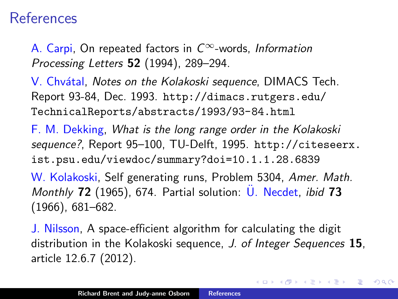#### References

A. Carpi, On repeated factors in  $C^{\infty}$ -words, Information Processing Letters 52 (1994), 289–294.

V. Chvátal, Notes on the Kolakoski sequence, DIMACS Tech. Report 93-84, Dec. 1993. [http://dimacs.rutgers.edu/](http://dimacs.rutgers.edu/TechnicalReports/abstracts/1993/93-84.html) [TechnicalReports/abstracts/1993/93-84.html](http://dimacs.rutgers.edu/TechnicalReports/abstracts/1993/93-84.html)

F. M. Dekking, What is the long range order in the Kolakoski sequence?, Report 95–100, TU-Delft, 1995. [http://citeseerx.](http://citeseerx.ist.psu.edu/viewdoc/summary?doi=10.1.1.28.6839) [ist.psu.edu/viewdoc/summary?doi=10.1.1.28.6839](http://citeseerx.ist.psu.edu/viewdoc/summary?doi=10.1.1.28.6839)

W. Kolakoski, Self generating runs, Problem 5304, Amer. Math. Monthly  $72$  (1965), 674. Partial solution:  $\overline{U}$ . Necdet, ibid 73 (1966), 681–682.

J. Nilsson, A space-efficient algorithm for calculating the digit distribution in the Kolakoski sequence, J. of Integer Sequences 15, article 12.6.7 (2012).

つへへ